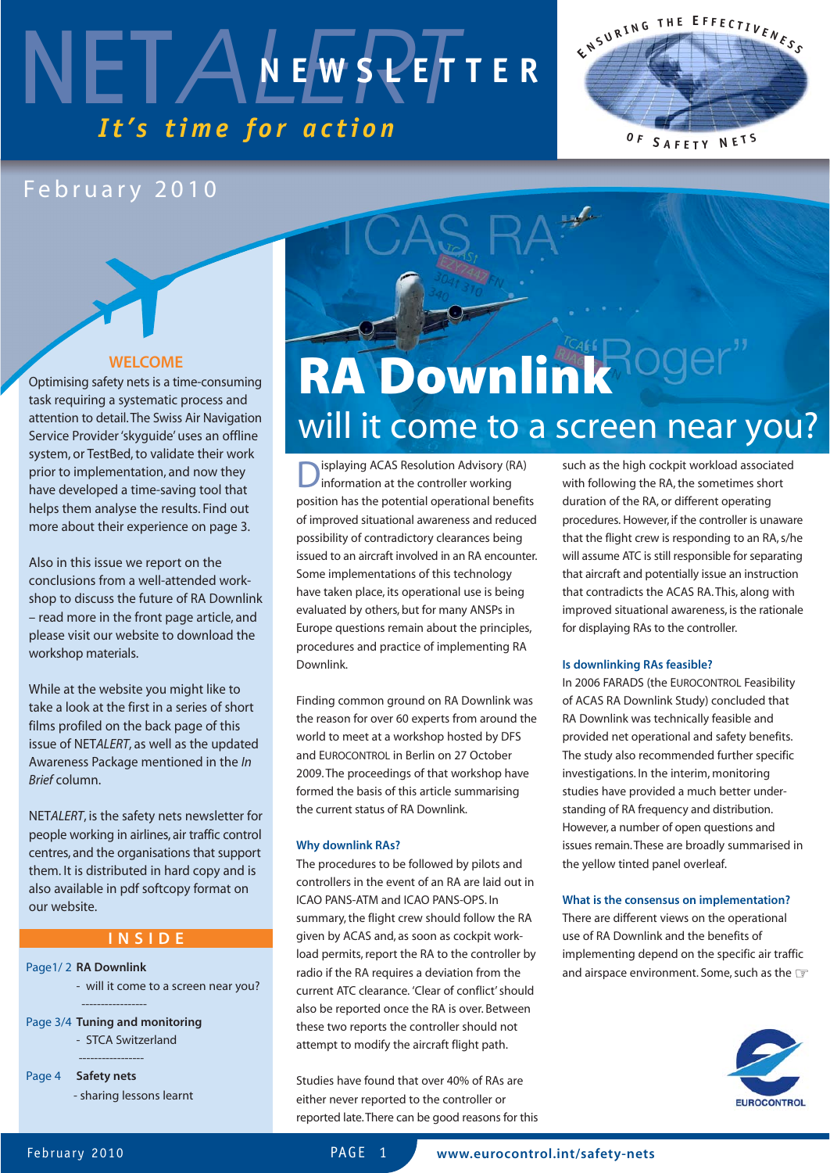

#### February 2010

#### **WELCOME**

Optimising safety nets is a time-consuming task requiring a systematic process and attention to detail.The Swiss Air Navigation Service Provider 'skyguide' uses an offline system, or TestBed, to validate their work prior to implementation, and now they have developed a time-saving tool that helps them analyse the results. Find out more about their experience on page 3.

Also in this issue we report on the conclusions from a well-attended workshop to discuss the future of RA Downlink – read more in the front page article, and please visit our website to download the workshop materials.

While at the website you might like to take a look at the first in a series of short films profiled on the back page of this issue of NET*ALERT*, as well as the updated Awareness Package mentioned in the *In Brief* column.

NET*ALERT*, is the safety nets newsletter for people working in airlines, air traffic control centres, and the organisations that support them. It is distributed in hard copy and is also available in pdf softcopy format on our website.

#### **INSIDE**

#### Page1/ 2 **RA Downlink**

- will it come to a screen near you? -----------------

Page 3/4 **Tuning and monitoring** - STCA Switzerland

-----------------

Page 4 **Safety nets** - sharing lessons learnt



# will it come to a screen near you?

**D**isplaying ACAS Resolution Advisory (RA)<br>information at the controller working position has the potential operational benefits of improved situational awareness and reduced possibility of contradictory clearances being issued to an aircraft involved in an RA encounter. Some implementations of this technology have taken place, its operational use is being evaluated by others, but for many ANSPs in Europe questions remain about the principles, procedures and practice of implementing RA Downlink.

Finding common ground on RA Downlink was the reason for over 60 experts from around the world to meet at a workshop hosted by DFS and EUROCONTROL in Berlin on 27 October 2009. The proceedings of that workshop have formed the basis of this article summarising the current status of RA Downlink.

#### **Why downlink RAs?**

The procedures to be followed by pilots and controllers in the event of an RA are laid out in ICAO PANS-ATM and ICAO PANS-OPS. In summary, the flight crew should follow the RA given by ACAS and, as soon as cockpit workload permits, report the RA to the controller by radio if the RA requires a deviation from the current ATC clearance. 'Clear of conflict' should also be reported once the RA is over. Between these two reports the controller should not attempt to modify the aircraft flight path.

Studies have found that over 40% of RAs are either never reported to the controller or reported late.There can be good reasons for this such as the high cockpit workload associated with following the RA, the sometimes short duration of the RA, or different operating procedures. However, if the controller is unaware that the flight crew is responding to an RA, s/he will assume ATC is still responsible for separating that aircraft and potentially issue an instruction that contradicts the ACAS RA. This, along with improved situational awareness, is the rationale for displaying RAs to the controller.

**E <sup>N</sup> <sup>S</sup> <sup>U</sup> <sup>R</sup> <sup>I</sup> <sup>N</sup> <sup>G</sup> <sup>T</sup> <sup>H</sup> <sup>E</sup> <sup>E</sup> <sup>F</sup> <sup>F</sup> <sup>E</sup> <sup>C</sup> <sup>T</sup> <sup>I</sup> <sup>V</sup> <sup>E</sup> <sup>N</sup> <sup>E</sup> <sup>S</sup> <sup>S</sup>**

**<sup>O</sup> <sup>F</sup> <sup>S</sup> <sup>A</sup> <sup>F</sup> <sup>E</sup> <sup>T</sup> <sup>Y</sup> <sup>N</sup> <sup>E</sup> <sup>T</sup> <sup>S</sup>**

#### **Is downlinking RAs feasible?**

In 2006 FARADS (the EUROCONTROL Feasibility of ACAS RA Downlink Study) concluded that RA Downlink was technically feasible and provided net operational and safety benefits. The study also recommended further specific investigations. In the interim, monitoring studies have provided a much better understanding of RA frequency and distribution. However, a number of open questions and issues remain. These are broadly summarised in the yellow tinted panel overleaf.

#### **What is the consensus on implementation?**

There are different views on the operational use of RA Downlink and the benefits of implementing depend on the specific air traffic and airspace environment. Some, such as the  $\textcolor{red}{\mathcal{P}}$ 

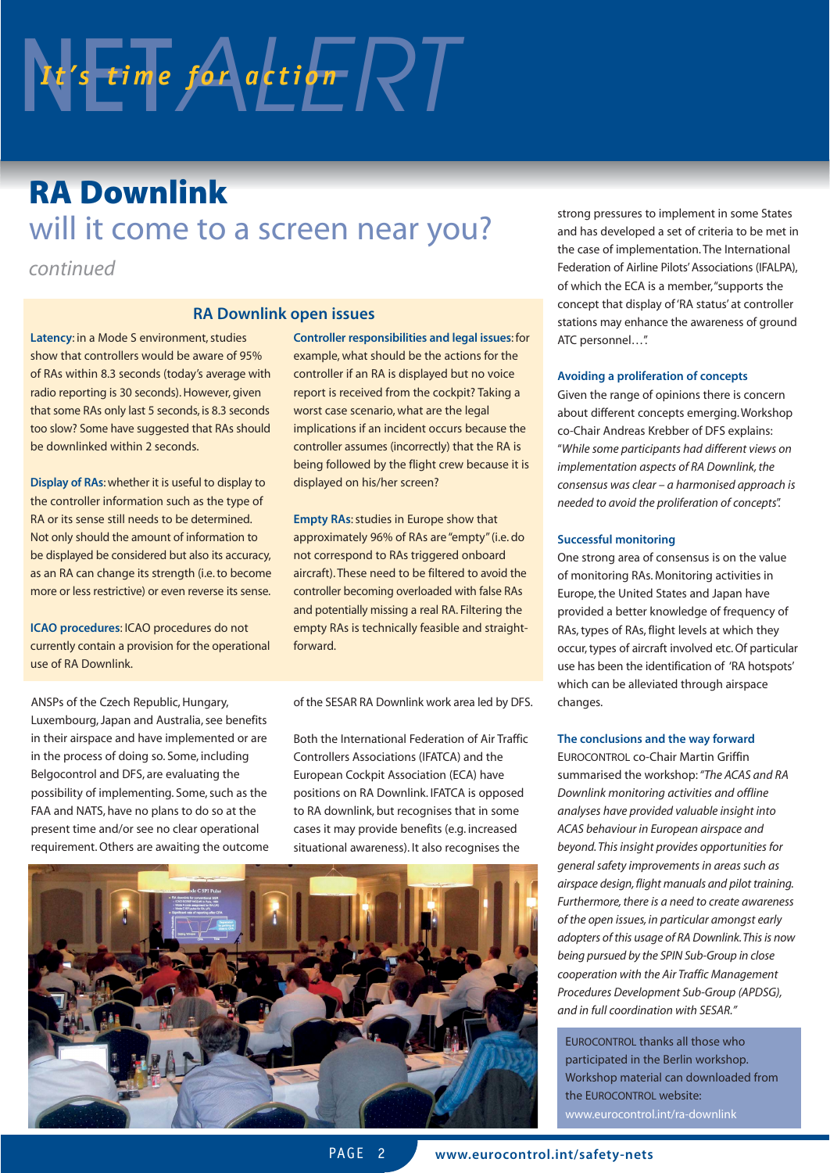# $N$   $t$ 's time for action  $\sqrt{2}$

### **RA Downlink**  will it come to a screen near you?

*continued*

#### **RA Downlink open issues**

**Latency**: in a Mode S environment, studies show that controllers would be aware of 95% of RAs within 8.3 seconds (today's average with radio reporting is 30 seconds). However, given that some RAs only last 5 seconds, is 8.3 seconds too slow? Some have suggested that RAs should be downlinked within 2 seconds.

**Display of RAs**: whether it is useful to display to the controller information such as the type of RA or its sense still needs to be determined. Not only should the amount of information to be displayed be considered but also its accuracy, as an RA can change its strength (i.e. to become more or less restrictive) or even reverse its sense.

**ICAO procedures**: ICAO procedures do not currently contain a provision for the operational use of RA Downlink.

ANSPs of the Czech Republic, Hungary, Luxembourg, Japan and Australia, see benefits in their airspace and have implemented or are in the process of doing so. Some, including Belgocontrol and DFS, are evaluating the possibility of implementing. Some, such as the FAA and NATS, have no plans to do so at the present time and/or see no clear operational requirement. Others are awaiting the outcome **Controller responsibilities and legal issues**: for example, what should be the actions for the controller if an RA is displayed but no voice report is received from the cockpit? Taking a worst case scenario, what are the legal implications if an incident occurs because the controller assumes (incorrectly) that the RA is being followed by the flight crew because it is displayed on his/her screen?

**Empty RAs: studies in Europe show that** approximately 96% of RAs are "empty" (i.e. do not correspond to RAs triggered onboard aircraft). These need to be filtered to avoid the controller becoming overloaded with false RAs and potentially missing a real RA. Filtering the empty RAs is technically feasible and straightforward.

of the SESAR RA Downlink work area led by DFS.

Both the International Federation of Air Traffic Controllers Associations (IFATCA) and the European Cockpit Association (ECA) have positions on RA Downlink. IFATCA is opposed to RA downlink, but recognises that in some cases it may provide benefits (e.g. increased situational awareness). It also recognises the



strong pressures to implement in some States and has developed a set of criteria to be met in the case of implementation. The International Federation of Airline Pilots' Associations (IFALPA), of which the ECA is a member,"supports the concept that display of 'RA status' at controller stations may enhance the awareness of ground ATC personnel…".

#### **Avoiding a proliferation of concepts**

Given the range of opinions there is concern about different concepts emerging. Workshop co-Chair Andreas Krebber of DFS explains: "*While some participants had different views on implementation aspects of RA Downlink, the consensus was clear – a harmonised approach is needed to avoid the proliferation of concepts*".

#### **Successful monitoring**

One strong area of consensus is on the value of monitoring RAs. Monitoring activities in Europe, the United States and Japan have provided a better knowledge of frequency of RAs, types of RAs, flight levels at which they occur, types of aircraft involved etc. Of particular use has been the identification of 'RA hotspots' which can be alleviated through airspace changes.

#### **The conclusions and the way forward**

EUROCONTROL co-Chair Martin Griffin summarised the workshop:*"The ACAS and RA Downlink monitoring activities and offline analyses have provided valuable insight into ACAS behaviour in European airspace and beyond. This insight provides opportunities for general safety improvements in areas such as airspace design, flight manuals and pilot training. Furthermore, there is a need to create awareness of the open issues, in particular amongst early adopters of this usage of RA Downlink.This is now being pursued by the SPIN Sub-Group in close cooperation with the Air Traffic Management Procedures Development Sub-Group (APDSG), and in full coordination with SESAR."*

EUROCONTROL thanks all those who participated in the Berlin workshop. Workshop material can downloaded from the EUROCONTROL website: www.eurocontrol.int/ra-downlink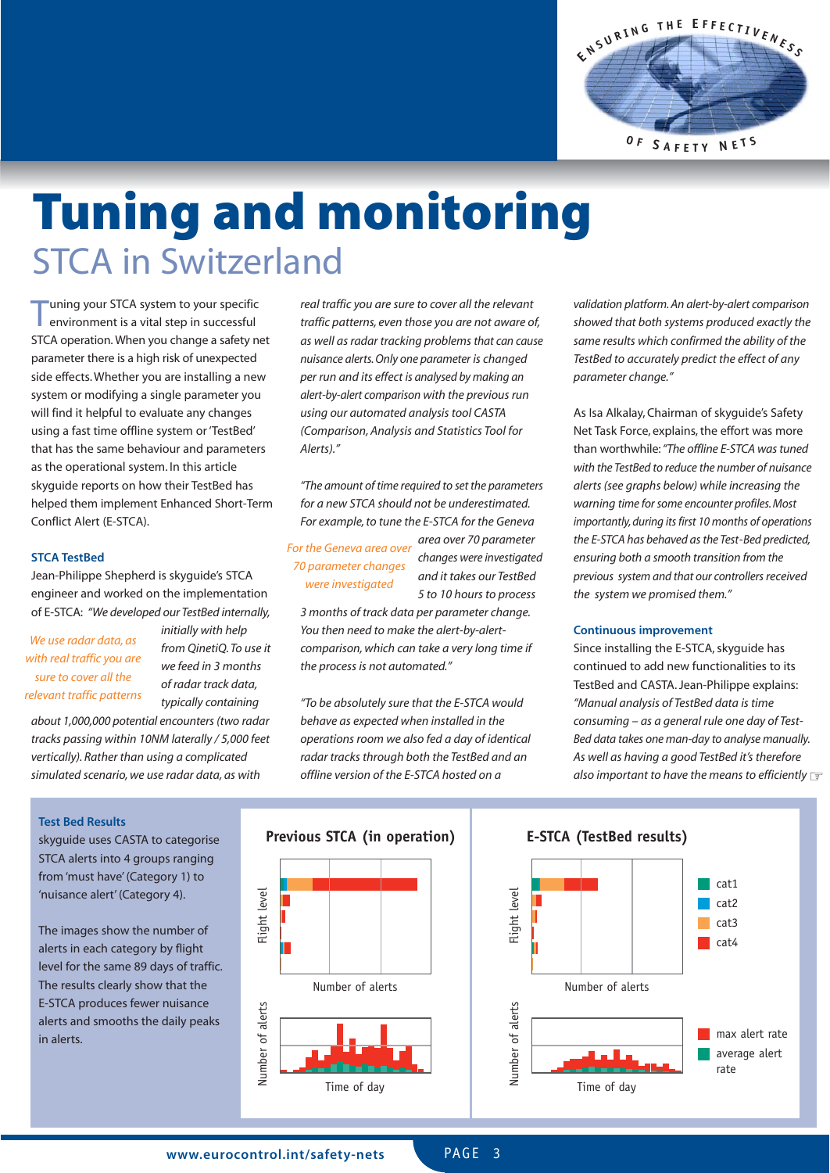

# **Tuning and monitoring**  STCA in Switzerland

Tuning your STCA system to your specific environment is a vital step in successful STCA operation. When you change a safety net parameter there is a high risk of unexpected side effects. Whether you are installing a new system or modifying a single parameter you will find it helpful to evaluate any changes using a fast time offline system or 'TestBed' that has the same behaviour and parameters as the operational system. In this article skyguide reports on how their TestBed has helped them implement Enhanced Short-Term Conflict Alert (E-STCA).

#### **STCA TestBed**

Jean-Philippe Shepherd is skyguide's STCA engineer and worked on the implementation of E-STCA: *"We developed our TestBed internally,*

*We use radar data, as with real traffic you are sure to cover all the relevant traffic patterns* *initially with help from QinetiQ. To use it we feed in 3 months of radar track data, typically containing*

*about 1,000,000 potential encounters (two radar tracks passing within 10NM laterally / 5,000 feet vertically). Rather than using a complicated simulated scenario, we use radar data, as with*

*real traffic you are sure to cover all the relevant traffic patterns, even those you are not aware of, as well as radar tracking problems that can cause nuisance alerts. Only one parameter is changed per run and its effect is analysed by making an alert-by-alert comparison with the previous run using our automated analysis tool CASTA (Comparison, Analysis and Statistics Tool for Alerts)."*

*"The amount of time required to set the parameters for a new STCA should not be underestimated. For example, to tune the E-STCA for the Geneva*

*For the Geneva area over 70 parameter changes were investigated*

*area over 70 parameter changes were investigated and it takes our TestBed 5 to 10 hours to process*

*3 months of track data per parameter change. You then need to make the alert-by-alertcomparison, which can take a very long time if the process is not automated."*

*"To be absolutely sure that the E-STCA would behave as expected when installed in the operations room we also fed a day of identical radar tracks through both the TestBed and an offline version of the E-STCA hosted on a*

*validation platform. An alert-by-alert comparison showed that both systems produced exactly the same results which confirmed the ability of the TestBed to accurately predict the effect of any parameter change."*

As Isa Alkalay, Chairman of skyguide's Safety Net Task Force, explains, the effort was more than worthwhile:*"The offline E-STCA was tuned with the TestBed to reduce the number of nuisance alerts (see graphs below) while increasing the warning time for some encounter profiles. Most importantly, during its first 10 months of operations the E-STCA has behaved as the Test-Bed predicted, ensuring both a smooth transition from the previous system and that our controllers received the system we promised them."*

#### **Continuous improvement**

Since installing the E-STCA, skyguide has continued to add new functionalities to its TestBed and CASTA. Jean-Philippe explains: *"Manual analysis of TestBed data is time consuming – as a general rule one day of Test-Bed data takes one man-day to analyse manually. As well as having a good TestBed it's therefore also important to have the means to efficiently* ☞

#### **Test Bed Results**

skyguide uses CASTA to categorise STCA alerts into 4 groups ranging from 'must have' (Category 1) to 'nuisance alert' (Category 4).

The images show the number of alerts in each category by flight level for the same 89 days of traffic. The results clearly show that the E-STCA produces fewer nuisance alerts and smooths the daily peaks in alerts.